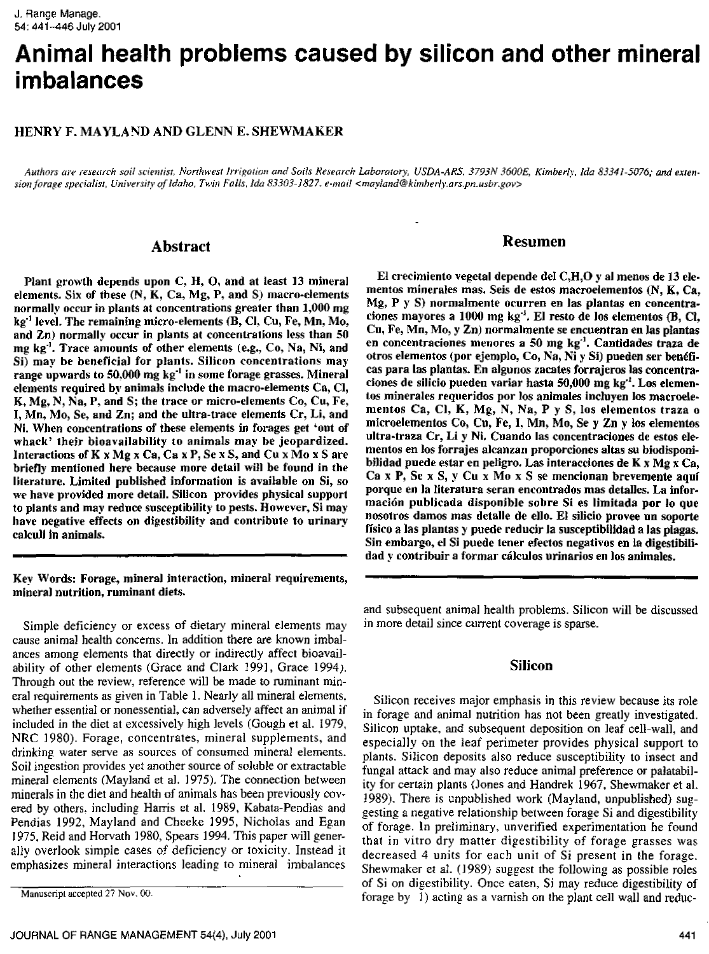# **Animal health problems caused by silicon and other mineral imbalances**

#### **HENRY** F. **MAYLA ND AND GLENN E. SHEWMAKER**

*Authors are research soil scientist, Northwest Irrigation and Soils Research Laboratory, USDA-ARS. 3793N 3600E, Kimberly, Ida 83341-5076; and extension forage specialist, University of Idaho, Twin Falls, Ida 83303-1827. e-mail <mayland@kimherly.ars.pn.usbr.gov >*

#### **Abstract**

Plant growth depends upon C, H, 0, and at least 13 mineral elements. Six of these (N, K, Ca, Mg, P, and S) macro-elements normally *occur in* plants at concentrations greater than 1,000 mg  $kg<sup>-1</sup>$  level. The remaining micro-elements (B, Cl, Cu, Fe, Mn, Mo, and Zn) normally occur in plants at concentrations less than 50 mg kg". Trace amounts of other elements (e.g., Co, Na, Ni, and Si) may be beneficial for plants. Silicon concentrations may range upwards to 50.000 mg kg' in some forage grasses. Mineral elements required by animals include the macro-elements Ca, Cl, K, Mg, N, Na, P, and S; the trace or micro-elements Co, Cu, Fe, I, Mn, Mo, Se, and Zn; and the ultra-trace elements Cr, Li, and Ni. When concentrations of these elements in forages get 'out of whack' their bioavailability to animals may be jeopardized. Interactions of K x Mg x Ca, Ca x P, Se x S, and Cu x Mo x S are briefly mentioned here because more detail will be found in the literature. Limited published information is available on Si, so we have provided more detail. Silicon provides physical support to plants and may reduce susceptibility to pests. However, Si may have negative effects on digestibility and contribute to urinary calculi in animals.

Key Words: Forage, mineral interaction, mineral requirements, mineral nutrition, ruminant diets.

Simple deficiency or excess of dietary mineral elements may cause animal health concerns. In addition there are known imbalances among elements that directly or indirectly affect bioavailability of other elements (Grace and Clark 199], Grace 1994). Through out the review, reference will be made to ruminant mineral requirements as given in Table 1. Nearly all mineral elements. whether essential or nonessential, can adversely affect an animal if included in the diet at excessively high levels (Gough et al. 1979, NRC 1980). Forage, concentrates, mineral supplements, and drinking water serve as sources of consumed mineral elements. Soil ingestion provides yet another source of soluble or extractable mineral elements (Mayland et al. 1975). The connection between minerals in the diet and health of animals has been previously covered by others. including Harris et al, 1989, Kabata-Pendias and Pendias 1992, Mayland and Cheeke 1995, Nicholas and Egan 1975. Reid and Horvath 1980, Spears 1994. This paper will generally overlook simple cases of deficiency or toxicity. Instead it emphasizes mineral interactions leading to mineral imbalances

#### **R esumen**

El crecimiento vegetal depende del  $C,H,O$  y al menos de 13 elementos minerales mas. Seis de estos macroeiementos (N, K, Ca, Mg, P y S) normalmente ocurren en las plantas en concentraciones mayores a 1000 mg kg<sup>-i</sup>. El resto de los elementos (B, Cl, Cu, Fe, Mn, Mo, y **Zn) normalrnente se encuentran en las plantas en concentraciones menores a 50 mg kg -I . Cantidades traza de otros elementos (por ejemplo, Co, Na, Ni y Si) pueden ser ben6fi**cas pare las plantas. En algunos zacates forrajeros las concentraciones de silicio pueden varier hasta 50,000 mg kg''. Los elementos minerales requeridos por los animales incluyen los macroelementos Ca, Cl, K, Mg, N, Na, P y S, Ios elementos traza o microelementos Co, Cu, Fe, I. Mn, Mo, Se y Zn y los elementos ultra-traza Cr, Li y Ni. Cuando las concentraciones de estos elementos en los forrajes alcanzan proporciones altas su biodisponibilidad puede estar en peligro. Las interacciones de K x Mg x Ca, Ca **x P,** Se x 5, y Cu x Mo x S se mencionan brevemente aqui porque en la Iiteratura seran encontrados mas detalles. La información publicada disponible sobre Si es limitada por lo que nosotros damos mas detalle de ello. El silicio provee un soporte fisico a las plantas y puede reducir la susceptiblildad a las plagas. Sin embargo, el Si puede tener efectos negativos en is digestibilidad y contribuir a *lorrnar* dilculos urinarios en los animales.

and subsequent animal health problems. Silicon will be discussed in more detail since current coverage is sparse.

#### Silicon

Silicon receives major emphasis in this review because its role in forage and animal nutrition has not been greatly investigated. Silicon uptake, and subsequent deposition on leaf cell-wall, and especially on the leaf perimeter provides physical support to plants. Silicon deposits also reduce susceptibility to insect and fungal attack and may also reduce animal preference or palatability for certain plants (Jones and Handrek 1967, Shewmaker et al. 1989). There is unpublished work (Mayland, unpublished) suggesting a negative relationship between forage Si and digestibility of forage. In preliminary, unverified experimentation he found that in vitro dry matter digestibility of forage grasses was decreased 4 units for each unit of Si present in the forage. Shewmaker et al. (1989) suggest the following as possible roles of Si on digestibility. Once eaten, Si may reduce digestibility of forage by 1) acting as a varnish on the plant cell wall and reduc-

Manuscript accepted 27 Nov. 00.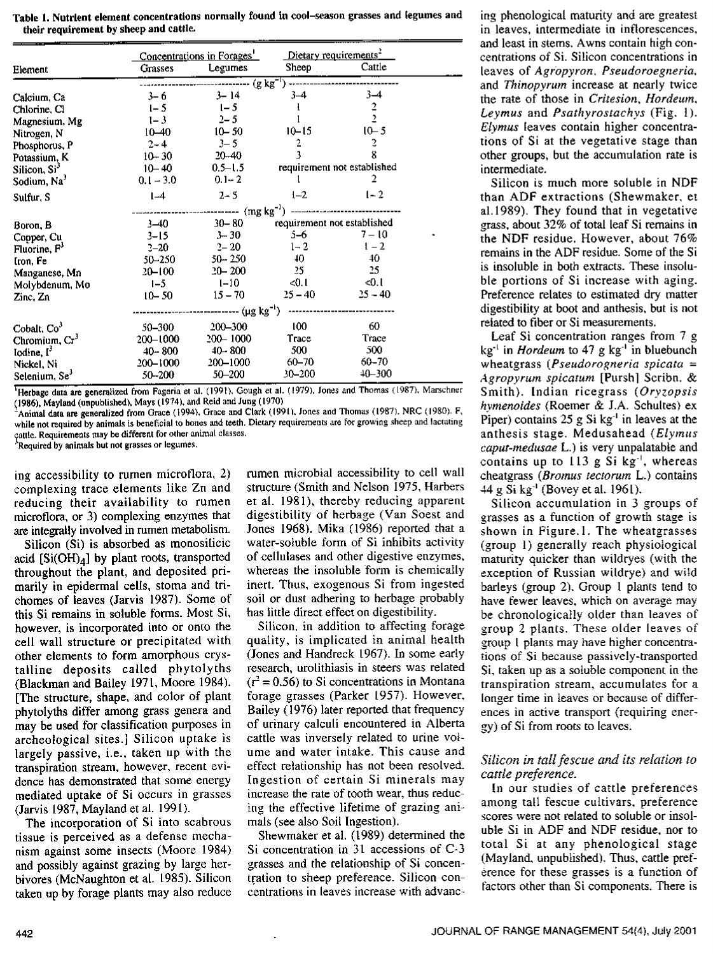| Table 1. Nutrient element concentrations normally found in cool-season grasses and legumes and |  |
|------------------------------------------------------------------------------------------------|--|
| their requirement by sheep and cattle.                                                         |  |

|                           | Concentrations in Forages' |                                           | Dietary requirements <sup>2</sup> |               |  |  |  |
|---------------------------|----------------------------|-------------------------------------------|-----------------------------------|---------------|--|--|--|
| Element                   | Grasses                    | Legumes                                   | Sheep                             | Cattle        |  |  |  |
|                           |                            |                                           |                                   |               |  |  |  |
| Calcium, Ca               | $3 - 6$                    | $3 - 14$                                  | $3 - 4$                           | $3 - 4$       |  |  |  |
| Chlorine, Cl              | $1 - 5$                    | $1 - 5$                                   | Ł                                 | $\frac{2}{2}$ |  |  |  |
| Magnesium, Mg             | $1 - 3$                    | $2 - 5$                                   |                                   |               |  |  |  |
| Nitrogen, N               | $10 - 40$                  | $10 - 50$                                 | $10 - 15$                         | $10 - 5$      |  |  |  |
| Phosphorus, P             | $2 - 4$                    | $3 - 5$                                   | 2                                 | 2             |  |  |  |
| Potassium, K              | $10 - 30$                  | $20 - 40$                                 |                                   | 8             |  |  |  |
| Silicon, Si <sup>3</sup>  | $10 - 40$                  | $0.5 - 1.5$                               | requirement not established       |               |  |  |  |
| Sodium, Na <sup>3</sup>   | $0.1 - 3.0$                | $0.1 - 2$                                 |                                   | 2             |  |  |  |
| Sulfur, S                 | $1-4$                      | $2 - 5$                                   | $1 - 2$                           | $1 - 2$       |  |  |  |
|                           |                            |                                           |                                   |               |  |  |  |
| Boron, B                  | $3 - 40$                   | $30 - 80$                                 | requirement not established       |               |  |  |  |
| Copper, Cu                | $3 - 15$                   | $3 - 30$                                  | 5-6                               | $7 - 10$      |  |  |  |
| Fluorine, $F'$            | $2 - 20$                   | $2 - 20$                                  | $1 - 2$                           | $1 - 2$       |  |  |  |
| Iron, Fe                  | 50–250                     | $50 - 250$                                | 40 <sub>10</sub>                  | 40            |  |  |  |
| Manganese, Mn             | 20–100                     | $20 - 200$                                | 25.                               | 25            |  |  |  |
| Molybdenum, Mo            | $1 - 5$                    | $1 - 10$                                  | <0.1                              | $-0.1$        |  |  |  |
| Zinc, Zn                  | $10 - 50$                  | $15 - 70$                                 | $25 - 40$                         | $25 - 40$     |  |  |  |
|                           |                            | ------------------ (µg kg <sup>-i</sup> ) |                                   |               |  |  |  |
| Cobalt, Co <sup>3</sup>   | 50-300                     | 200-300                                   | 100                               | 60            |  |  |  |
| Chromium, Cr <sup>3</sup> | $200 - 1000$               | 200-1000                                  | Trace                             | Trace         |  |  |  |
| Iodine, $\Gamma$          | $40 - 800$                 | $40 - 800$                                | 500                               | 500           |  |  |  |
| Nickel, Ni                | 200-1000                   | 200-1000                                  | $60 - 70$                         | 60-70         |  |  |  |
| Selenium, Se <sup>3</sup> | 50-200                     | 50-200                                    | 30-200                            | $+0 - 300$    |  |  |  |

<sup>1</sup>Herbage data are generalized from Fageria et al. (1991), Gough et al. (1979), Jones and Thomas (1987), Marschner (1986), Mayland (unpublished). Mays (1974), and Reid and Jung (1970)

Animal data are generalized from Grace (1994), Grace and Clark (19911. Jones and Thomas (1987). NRC (1980)• F, while not required by animals is beneficial to bones and teeth. Dietary requirements are for growing sheep and lactating pule. Requirements may be different for other animal classes.

Required by animals but not grasses or legumes.

ing accessibility to rumen microflora, 2) complexing trace elements like Zn and reducing their availability to rumen microflora, or 3) complexing enzymes that are integrally involved in rumen metabolism.

Silicon (Si) is absorbed as monositicic acid  $[Si(OH)<sub>A</sub>]$  by plant roots, transported throughout the plant, and deposited primarily in epidermal cells, stoma and trichomes of leaves (Jarvis 1987). Some of this Si remains in soluble forms. Most Si, however, is incorporated into or onto the cell wall structure or precipitated with other elements to form amorphous crystalline deposits called phytolyths (Blackman and Bailey 1971, Moore 1984). [The structure, shape, and color of plant phytolyths differ among grass genera and may be used for classification purposes in archeological sites.] Silicon uptake is largely passive, i.e., taken up with the transpiration stream, however, recent evidence has demonstrated that some energy mediated uptake of Si occurs in grasses (Jarvis 1987, Mayland et al. 1991).

The incorporation of Si into scabrous tissue is perceived as a defense mechanism against some insects (Moore 1984) and possibly against grazing by large herbivores (McNaughton et al. L985). Silicon taken up by forage plants may also reduce

rumen microbial accessibility to cell wall structure (Smith and Nelson 1975, Harbers et al. 1981), thereby reducing apparent digestibility of herbage (Van Soest and Jones 1968). Mika (1986) reported that a water-soluble form of Si inhibits activity of cellulases and other digestive enzymes, whereas the insoluble form is chemically inert. Thus, exogenous Si from ingested soil or dust adhering to herbage probably has little direct effect on digestibility.

Silicon, in addition to affecting forage quality, is implicated in animal health (Jones and Handreck L967). In some early research, urolithiasis in steers was related  $(r^2 = 0.56)$  to Si concentrations in Montana forage grasses (Parker L957). However, Bailey (1976) later reported that frequency of urinary calculi encountered in Alberta cattle was inversely related to urine volume and water intake. This cause and effect relationship has not been resolved. Ingestion of certain Si minerals may increase the rate of tooth wear, thus reducing the effective lifetime of grazing animals (see also Soil Ingestion).

Shewmaker et al. (1989) determined the Si concentration in 31 accessions of C-3 grasses and the relationship of Si concentration to sheep preference. Silicon concentrations in leaves increase with advancing phenological maturity and are greatest in leaves, intermediate in inflorescences, and least in stems. Awns contain high concentrations of Si. Silicon concentrations in leaves of *Agropyron, Pseudoroegneria,* and *Thinopyrum* increase at nearly twice the rate of those in *Critesion, Hordeum. Leymus* and *Psathyrostachys* (Fig. 1). *Elymus* leaves contain higher concentrations of Si at the vegetative stage than other groups, but the accumulation rate is intermediate.

Silicon is much more soluble in NDF than ADE extractions (Shewmaker, et al.1989). They found that in vegetative grass, about 32% of total leaf Si remains in the NDF residue. However, about 76% remains in the ADF residue. Some of the Si is insoluble in both extracts. These insoluble portions of Si increase with aging. Preference relates to estimated dry matter digestibility at boot and anthesis, but is not related to fiber or Si measurements.

Leaf Si concentration ranges from 7 g kg' in *Hordeum* to 47 g kg' in bluebunch wheatgrass *(Pseudorogneria spicata = Agropyrum spicatum* [Pursh] Scribe. & Smith). Indian ricegrass *(Oryzopsis hymenoides* (Roemer & J.A. Schultes) ex Piper) contains 25 g Si kg' in leaves at the anthesis stage. Medusahead *(Elymus caput-medusae* L.) is very unpalatable and contains up to  $113$  g Si kg<sup>-1</sup>, whereas cheatgrass *(Bromus tectorum* L.) contains 44 g Si kg' (Bovey et al. 1961).

Silicon accumulation in 3 groups of grasses as a function of growth stage is shown in Figure.l. The wheatgrasses (group 1) generally reach physiological maturity quicker than wildryes (with the exception of Russian wildrye) and wild barleys (group 2). Group 1 plants tend to have fewer leaves, which on average may be chronologically older than leaves of group 2 plants. These older leaves of group l plants may have higher concentrations of Si because passively-transported Si, taken up as a soluble component in the transpiration stream, accumulates for a longer time in leaves or because of differences in active transport (requiring energy) of Si from roots to leaves.

#### *Silicon in tall fescue and its relation to cattle preference.*

In our studies of cattle preferences among tall fescue cultivars, preference scores were not related to soluble or insoluble Si in ADF and NDF residue, nor to total Si at any phenological stage (Mayland, unpublished). Thus, cattle preference for these grasses is a function of factors other than Si components. There is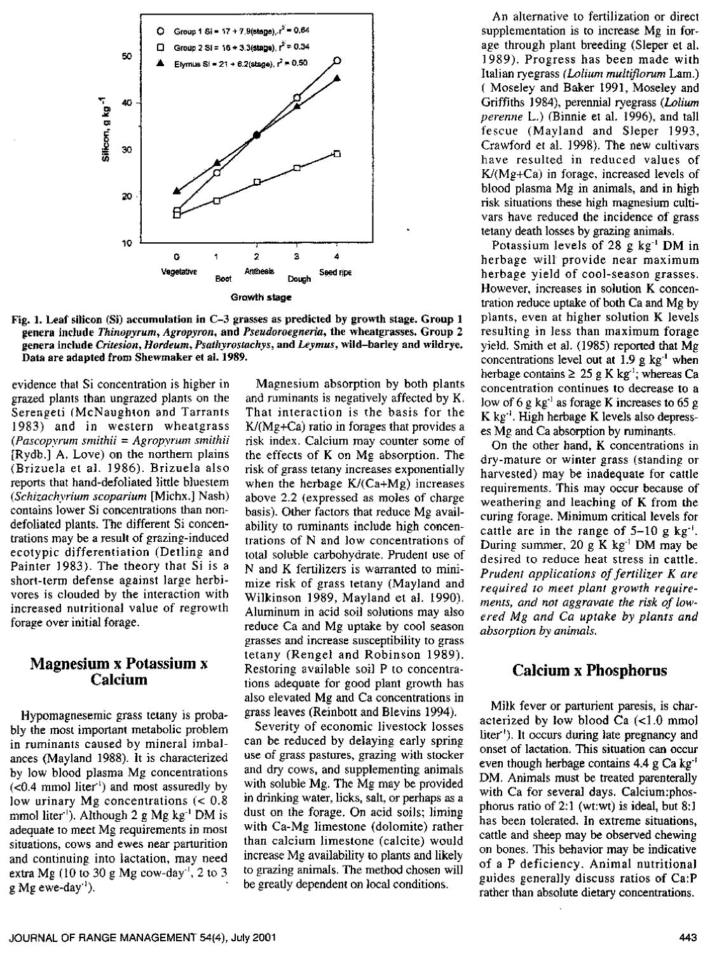

Fig. 1. Leaf silicon (Si) accumulation in C-3 grasses as predicted by growth stage. Group 1 genera include Thinopyrum, Agropyron, and Pseudoroegneria, the wheatgrasses. Group 2 genera include Critesion, Hordeum, Psathyrostachys, and Leymus, wild-barley and wildrye. Data are adapted from Shewmaker et al. 1989.

evidence that Si concentration is higher in grazed plants than ungrazed plants on the Serengeti (McNaughton and Tarrants 1983) and in western wheatgrass  $(Pascopyrum smithii = Agropyrum smithii)$ [Rydb.] A. Love) on the northern plains (Brizuela et al. 1986). Brizuela also reports that hand-defoliated little bluestem (Schizachyrium scoparium [Michx.] Nash) contains lower Si concentrations than nondefoliated plants. The different Si concentrations may be a result of grazing-induced ecotypic differentiation (Detling and Painter 1983). The theory that Si is a short-term defense against large herbivores is clouded by the interaction with increased nutritional value of regrowth forage over initial forage.

#### **Magnesium x Potassium x** Calcium

Hypomagnesemic grass tetany is probably the most important metabolic problem in ruminants caused by mineral imbalances (Mayland 1988). It is characterized by low blood plasma Mg concentrations  $(<0.4$  mmol liter<sup>1</sup>) and most assuredly by low urinary Mg concentrations  $(< 0.8)$ mmol liter''). Although 2 g Mg  $kg^{-1}$  DM is adequate to meet Mg requirements in most situations, cows and ewes near parturition and continuing into lactation, may need extra Mg (10 to 30 g Mg cow-day<sup>-1</sup>, 2 to 3  $g$  Mg ewe-day<sup>-1</sup>).

Magnesium absorption by both plants and ruminants is negatively affected by K. That interaction is the basis for the  $K/(Mg+Ca)$  ratio in forages that provides a risk index. Calcium may counter some of the effects of K on Mg absorption. The risk of grass tetany increases exponentially when the herbage  $K/(Ca+Mg)$  increases above 2.2 (expressed as moles of charge basis). Other factors that reduce Mg availability to ruminants include high concentrations of N and low concentrations of total soluble carbohydrate. Prudent use of N and K fertilizers is warranted to minimize risk of grass tetany (Mayland and Wilkinson 1989, Mayland et al. 1990). Aluminum in acid soil solutions may also reduce Ca and Mg uptake by cool season grasses and increase susceptibility to grass tetany (Rengel and Robinson 1989). Restoring available soil P to concentrations adequate for good plant growth has also elevated Mg and Ca concentrations in grass leaves (Reinbott and Blevins 1994).

Severity of economic livestock losses can be reduced by delaying early spring use of grass pastures, grazing with stocker and dry cows, and supplementing animals with soluble Mg. The Mg may be provided in drinking water, licks, salt, or perhaps as a dust on the forage. On acid soils; liming with Ca-Mg limestone (dolomite) rather than calcium limestone (calcite) would increase Mg availability to plants and likely to grazing animals. The method chosen will be greatly dependent on local conditions.

An alternative to fertilization or direct supplementation is to increase Mg in forage through plant breeding (Sleper et al. 1989). Progress has been made with Italian ryegrass (Lolium multiflorum Lam.) (Moseley and Baker 1991, Moseley and Griffiths 1984), perennial ryegrass (Lolium perenne L.) (Binnie et al. 1996), and tall fescue (Mayland and Sleper 1993, Crawford et al. 1998). The new cultivars have resulted in reduced values of  $K/(Mg+Ca)$  in forage, increased levels of blood plasma Mg in animals, and in high risk situations these high magnesium cultivars have reduced the incidence of grass tetany death losses by grazing animals.

Potassium levels of 28 g  $kg^{-1}$  DM in herbage will provide near maximum herbage yield of cool-season grasses. However, increases in solution K concentration reduce uptake of both Ca and Mg by plants, even at higher solution K levels resulting in less than maximum forage yield. Smith et al. (1985) reported that Mg concentrations level out at 1.9 g  $kg^{-1}$  when herbage contains  $\geq 25$  g K kg<sup>-1</sup>; whereas Ca concentration continues to decrease to a low of 6 g  $kg^{-1}$  as forage K increases to 65 g K kg<sup>-1</sup>. High herbage K levels also depresses Mg and Ca absorption by ruminants.

On the other hand, K concentrations in dry-mature or winter grass (standing or harvested) may be inadequate for cattle requirements. This may occur because of weathering and leaching of K from the curing forage. Minimum critical levels for cattle are in the range of  $5-10$  g kg<sup>-1</sup>. During summer, 20 g K kg<sup>-1</sup> DM may be desired to reduce heat stress in cattle. Prudent applications of fertilizer K are required to meet plant growth requirements, and not aggravate the risk of lowered Mg and Ca uptake by plants and absorption by animals.

# **Calcium x Phosphorus**

Milk fever or parturient paresis, is characterized by low blood Ca  $(<1.0$  mmol liter<sup>1</sup>). It occurs during late pregnancy and onset of lactation. This situation can occur even though herbage contains  $4.4 \text{ g Ca kg}$ DM. Animals must be treated parenterally with Ca for several days. Calcium:phosphorus ratio of  $2:1$  (wt:wt) is ideal, but  $8:1$ has been tolerated. In extreme situations, cattle and sheep may be observed chewing on bones. This behavior may be indicative of a P deficiency. Animal nutritional guides generally discuss ratios of Ca:P rather than absolute dietary concentrations.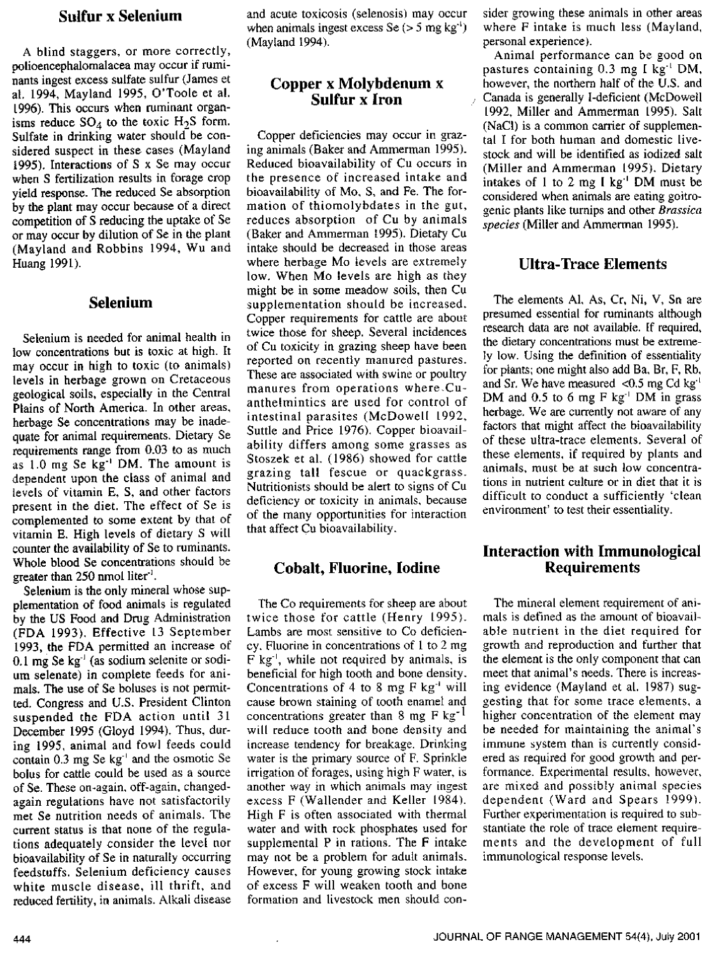# Sulfur **x Selenium**

A blind staggers, or more correctly, polioencephalomalacea may occur if ruminants ingest excess sulfate sulfur (James et al. 1994, Mayland 1995, O'Toole et al. 1996). This occurs when ruminant organisms reduce  $SO_4$  to the toxic  $H_2S$  form. Sulfate in drinking water should be considered suspect in these cases (Mayland 1995). Interactions of S x Se may occur when S fertilization results in forage crop yield response. The reduced Se absorption by the plant may occur because of a direct competition of S reducing the uptake of Se or may occur by dilution of Se in the plant (Mayland and Robbins 1994, Wu and Huang 1991).

#### **Selenium**

Selenium is needed for animal health in low concentrations but is toxic at high. It may occur in high to toxic (to animals) levels in herbage grown on Cretaceous geological soils, especially in the Central Plains of North America. In other areas, herbage Se concentrations may be inadequate for animal requirements. Dietary Se requirements range from 0.03 to as much as 1.0 mg Se kg' DM. The amount is dependent upon the class of animal and levels of vitamin E, S, and other factors present in the diet. The effect of Se is complemented to some extent by that of vitamin E. High levels of dietary S will counter the availability of Se to ruminants. Whole blood Se concentrations should be greater than  $250$  nmol liter<sup>1</sup>.

Selenium is the only mineral whose supplementation of food animals is regulated by the US Food and Drug Administration (FDA 1993), Effective L3 September 1993, the FDA permitted an increase of  $0.1$  mg Se kg<sup>-1</sup> (as sodium selenite or sodium selenate) in complete feeds for animals. The use of Se boluses is not permitted. Congress and U.S. President Clinton suspended the FDA action until 31 December 1995 (Gloyd 1994). Thus, during 1995, animal and fowl feeds could contain 0.3 mg Se kg' and the osmotic Se bolus for cattle could be used as a source of Se. These on-again, off-again, changedagain regulations have not satisfactorily met Se nutrition needs of animals. The current status is that none of the regulations adequately consider the Level nor bioavailability of Se in naturally occurring feedstuffs. Selenium deficiency causes white muscle disease, ill thrift, and reduced fertility, in animals. Alkali disease and acute toxicosis (selenosis) may occur when animals ingest excess  $\text{Se}(>5 \text{ mg kg}^{\prime})$ (Mayland 1994).

# **Copper x Molybdenum x Sulfur x Iron**

Copper deficiencies may occur in grazing animals (Baker and Ammerman 1995). Reduced bioavailability of Cu occurs in the presence of increased intake and bioavailability of Mo, S, and Fe. The formation of thiomolybdates in the gut, reduces absorption of Cu by animals (Baker and Ammerman 1995). Dietary Cu intake should be decreased in those areas where herbage Mo levels are extremely low. When Mo levels are high as they might be in some meadow soils, then Cu supplementation should be increased. Copper requirements for cattle are about twice those for sheep. Several incidences of Cu toxicity in grazing sheep have been reported on recently manured pastures. These are associated with swine or poultry manures from operations where,Cuanthelmintics are used for control of intestinal parasites (McDowell L992, Suttle and Price 1976). Copper bioavailability differs among some grasses as Stoszek et al. (1986) showed for cattle grazing tall fescue or quackgrass. Nutritionists should be alert to signs of Cu deficiency or toxicity in animals, because of the many opportunities for interaction that affect Cu bioavailability.

#### **Cobalt, Fluorine, Iodine**

The Co requirements for sheep are about twice those for cattle (Henry L995). Lambs are most sensitive to Co deficiency. Fluorine in concentrations of 1 to 2 mg F kg', while not required by animals, is beneficial for high tooth and bone density. Concentrations of 4 to 8 mg F kg' will cause brown staining of tooth enamel and concentrations greater than 8 mg  $F$  kg<sup>-1</sup> will reduce tooth and bone density and increase tendency for breakage. Drinking water is the primary source of F. Sprinkle irrigation of forages, using high F water, is another way in which animals may ingest excess F (Wallender and Keller 1984). High F is often associated with thermal water and with rock phosphates used for supplemental P in rations. The F intake may not be a problem for adult animals. However, for young growing stock intake of excess F will weaken tooth and bone formation and livestock men should consider growing these animals in other areas where *F* intake is much less (Mayland, personal experience).

Animal performance can be good on pastures containing 0.3 mg I kg" DM. however, the northern half of the U.S. and Canada is generally I-deficient (McDowell L992, Miller and Ammerman [995). Salt (NaCI) is a common carrier of supplemental I for both human and domestic livestock and will be identified as iodized salt (Miller and Ammerman L995). Dietary intakes of 1 to 2 mg I kg' DM must be considered when animals are eating goitrogenic plants like turnips and other *Brassica species* (Miller and Ammerman 1995).

# Ultra-Trace Elements

The elements Al, As, Cr, Ni, V, Sn are presumed essential for ruminants although research data are not available. If required, the dietary concentrations must be extremely low. Using the definition of essentiality for plants; one might also add Ba, Br, F, Rb, and Sr. We have measured <0.5 mg Cd  $kg<sup>4</sup>$ DM and 0.5 to 6 mg F kg' DM in grass herbage. We are currently not aware of any factors that might affect the bioavailability of these ultra-trace elements. Several of these elements, if required by plants and animals, must be at such low concentrations in nutrient culture or in diet that it is difficult to conduct a sufficiently 'clean environment' to test their essentiality.

# Interaction with Immunological Requirements

The mineral element requirement of animals is defined as the amount of bioavailable nutrient in the diet required for growth and reproduction and further that the element is the only component that can meet that animal's needs. There is increasing evidence (Mayland et al. 1987) suggesting that for some trace elements, a higher concentration of the element may be needed for maintaining the animal's immune system than is currently considered as required for good growth and performance. Experimental results, however, are mixed and possibly animal species dependent (Ward and Spears 1999). Further experimentation is required to substantiate the role of trace element requirements and the development of full immunological response levels.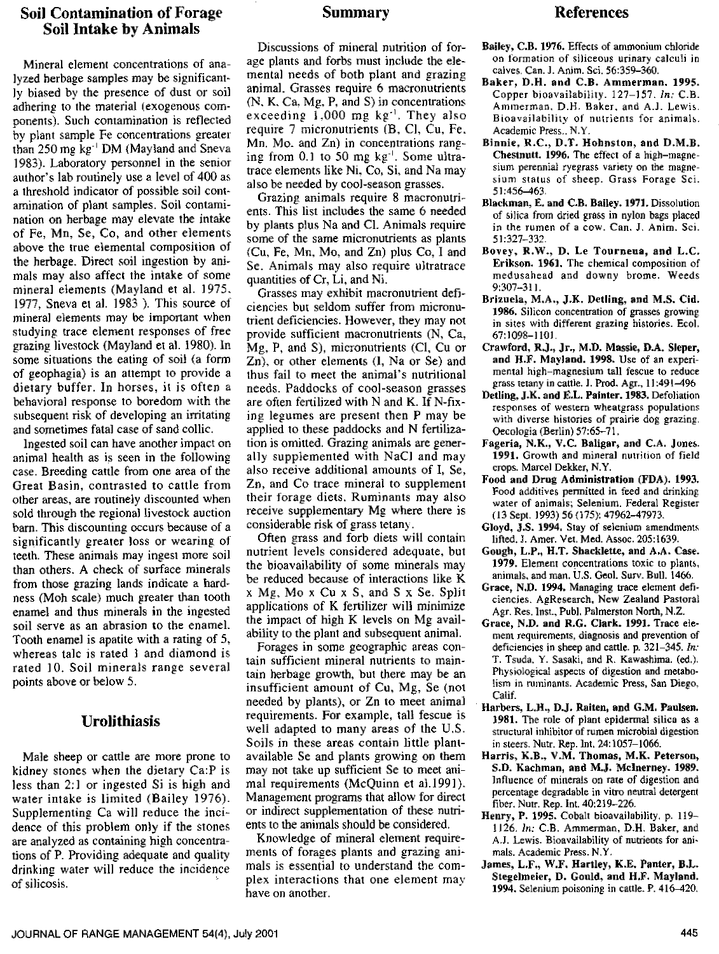### **Soil Contamination of Forage <b>Summary Summary References Soil Intake by Animals**

Mineral element concentrations of analyzed herbage samples may be significantly biased by the presence of dust or soil adhering to the material (exogenous components). Such contamination is reflected by plant sample Fe concentrations greater than 250 mg kg<sup>-1</sup> DM (Mayland and Sneva 1983). Laboratory personnel in the senior author's lab routinely use a level of 400 as a threshold indicator of possible soil contamination of plant samples. Soil contamination on herbage may elevate the intake of Fe, Mn, Se, Co, and other elements above the true elemental composition of the herbage. Direct soil ingestion by animals may also affect the intake of some mineral elements (Mayland et al. 1975. 1977, Sneva et al. 1983 ). This source of mineral elements may be important when studying trace element responses of free grazing livestock {Mayland et al. 1980). In some situations the eating of soil (a form of geophagia) is an attempt to provide a dietary buffer. In horses, it is often <sup>a</sup> behavioral response to boredom with the subsequent risk of developing an irritating and sometimes fatal case of sand collie.

Ingested soil can have another impact on animal health as is seen in the following case. Breeding cattle from one area of the Great Basin, contrasted to cattle from other areas, are routinely discounted when sold through the regional livestock auction barn. This discounting occurs because of a significantly greater loss or wearing of teeth. These animals may ingest more soil than others. A check of surface minerals from those grazing lands indicate a hardness (Moh scale) much greater than tooth enamel and thus minerals in the ingested soil serve as an abrasion to the enamel. Tooth enamel is apatite with a rating of 5, whereas talc is rated 3 and diamond is rated 10. Soil minerals range several points above or below 5.

# **Tirolithiasis**

Male sheep or cattle are more prone to kidney stones when the dietary Ca:P is less than 2:1 or ingested Si is high and water intake is limited (Bailey 1976). Supplementing Ca will reduce the incidence of this problem only if the stones are analyzed as containing high concentrations of P. Providing adequate and quality drinking water will reduce the incidence of silicosis.

Discussions of mineral nutrition of forage plants and forbs must include the elemental needs of both plant and grazing animal. Grasses require 6 macronutrients (N. K. Ca. Mg, P, and S) in concentrations exceeding  $1,000$  mg kg<sup>-1</sup>. They also require 7 micronutrients (B, Cl. Cu, Fe. Mn. Mo. and Zn) in concentrations ranging from 0.1 to 50 mg  $kg^{-1}$ . Some ultratrace elements like Ni. Co, Si, and Na may also be needed by cool-season grasses.

Grazing animals require 8 macronutrients. This list includes the same 6 needed by plants plus Na and Cl. Animals require some of the same micronutrients as plants (Cu, Fe, Mn, Mo, and Zn) plus Co, I and Se. Animals may also require ultratrace quantities of Cr, Li, and Ni.

Grasses may exhibit macronutrient deficiencies but seldom suffer from micronutrient deficiencies. However, they may not provide sufficient macronutrients (N, Ca, Mg, P, and 5), micronutrients (Cl, Cu or Zn), or other elements (1, Na or Se) and thus fail to meet the animal's nutritional needs. Paddocks of cool-season grasses are often fertilized with N and K. If N-fix**ing legumes** are present then P may be applied to these paddocks and N fertilization is omitted. Grazing animals are generally supplemented with NaCl and may also receive additional amounts of I, Se, Zn, and Co trace mineral to supplement their forage diets. Ruminants may also receive supplementary Mg where there is considerable risk of grass tetany.

Often grass and forb diets will contain nutrient levels considered adequate, but the bioavailability of some minerals may be reduced because of interactions like K x Mg, Mo x Cu x S, and S x Se. Split applications of K fertilizer will minimize the impact of high K levels on Mg availability to the plant and subsequent animal.

Forages in some geographic areas contain sufficient mineral nutrients to maintain herbage growth, but there may be an insufficient amount of Cu, Mg, Se (not needed by plants), or Zn to meet animal requirements. For example, tall fescue is well adapted to many areas of the U.S. Soils in these areas contain little plantavailable Se and plants growing on them may not take up sufficient Se to meet animal requirements (McQuinn et al.1991). Management programs that allow for direct or indirect supplementation of these nutrients to the animals should be considered.

Knowledge of mineral element requirements of forages plants and grazing animals is essential to understand the complex interactions that one element may have on another.

- Bailey, C.B. 1976. Effects of ammonium chloride on formation of siliceous urinary calculi in calves. Can. J. Anim. Sci. 56:359-360.
- Baker, D.H. and C.B. Ammerman. 1995. Copper bioavailability. 127-15'7. *In:* C.B. Ammerman, D.H. Baker, and A.]. Lewis. Bioavailability of nutrients for animals. Academic Press.. N.Y.
- Binnie. R.C., D.T. Hohnston, and D.M.B. Chesinutt. 1996. The effect of a high-magnesium perennial ryegrass variety on the magnesium status of sheep. Grass Forage Sci. 51:456-463.
- Blackman, E. and C.B. Bailey. 1971. Dissolution of silica from dried grass in nylon bags placed in the rumen of a cow. Can. J. Anim, Sci. 51:327-332.
- Bovey, R.W., D. Le Tourneua, and L.C. Erikson. 1961. The chemical composition of medusahead and downy brome. Weeds 9:307-311.
- Brizuela, M.A., J.K. Detling, and M.S. Cid. 1986. Silicon concentration of grasses growing in sites with different grazing histories. Ecol. 67:1098-1101.
- Crawford, R.J., Jr., M.D. Massie, D.A. Sleper, and H.F. Mayland. 1998. Use of an experimental high-magnesium tall fescue to reduce grass tetany in cattle. 1. Prod. Agr., 11:491-496
- Detling, J.K. and E.L. Painter. 1983. Defoliation responses of western wheatgrass populations with diverse histories of prairie dog grazing. Oecologia (Berlin) 57:65-71.
- Fageria, N.K., V.C. Baligar, and C.A. Jones. 1991. Growth and mineral nutrition of field crops. Marcel Dekker, N.Y.
- Food and Drug Administration (FDA). 1993. Food additives permitted in feed and drinking water of animals; Selenium. Federal Register (13 Sept. 1993) 56 (175): 47962-47973.
- Gloyd, J.S. 1994, Stay of selenium amendments lifted. 1. Amer. Vet. Med. Assoc. 205:1639.
- Gough, L.P., H.T. Shacklette, and A.A. Case. 1979. Element concentrations toxic to plants, animals, and man. U.S. Geol. Surv. Bull. 1466.
- Grace, N.D. 1994. Managing trace element deficiencies. AgResearch, New Zealand Pastoral Agr. Res. Inst., Publ. Palmerston North, N.Z.
- Grace, N.D. and B.G. Clark. 1991. Trace element requirements, diagnosis and prevention of deficiencies in sheep and cattle. p. 321-345. *In:* T. Tsuda, Y. Sasaki, and R. Kawashima. (ed.). Physiological aspects of digestion and metabolism in ruminants. Academic Press, San Diego. Calif.
- Harbers, L.11., D.J. Raiten, and G.M. Paulsen. 3981. The role of plant epidermal silica as a structural inhibitor of rumen microbial digestion in steers. Nutr. Rep. Int, 24:1057-1066.
- Harris, K.B., V.M. Thomas, M.K. Peterson, S.D. Kachman, and M.J. McInerney. 1989. Influence of minerals on rate of digestion and percentage degradable in vitro neutral detergent fiber. Nutr. Rep. Int. 40:219-226.
- Henry, P. 1995. Cobalt bioavailability. p. 119- 1126. In: C.B. Ammerman, D.H. Baker, and A.J. Lewis. Bioavailability of nutrients for animals. Academic Press. N.Y.
- James, L.F., W.F. Hartley, K.E. Panter, B.L. Stegelmeier, D. Gould, and H.F. Mayland. 1994. Selenium poisoning in cattle. P. 416-420.